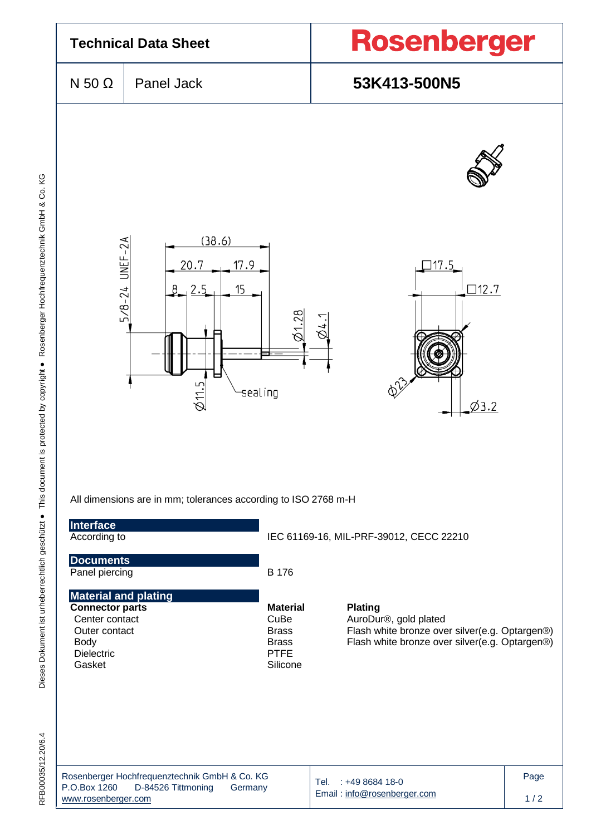